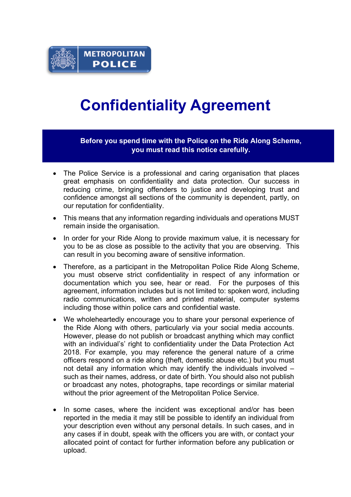

## **Confidentiality Agreement**

**Before you spend time with the Police on the Ride Along Scheme, you must read this notice carefully.**

- The Police Service is a professional and caring organisation that places great emphasis on confidentiality and data protection. Our success in reducing crime, bringing offenders to justice and developing trust and confidence amongst all sections of the community is dependent, partly, on our reputation for confidentiality.
- This means that any information regarding individuals and operations MUST remain inside the organisation.
- In order for your Ride Along to provide maximum value, it is necessary for you to be as close as possible to the activity that you are observing. This can result in you becoming aware of sensitive information.
- Therefore, as a participant in the Metropolitan Police Ride Along Scheme, you must observe strict confidentiality in respect of any information or documentation which you see, hear or read. For the purposes of this agreement, information includes but is not limited to: spoken word, including radio communications, written and printed material, computer systems including those within police cars and confidential waste.
- We wholeheartedly encourage you to share your personal experience of the Ride Along with others, particularly via your social media accounts. However, please do not publish or broadcast anything which may conflict with an individual's' right to confidentiality under the Data Protection Act 2018. For example, you may reference the general nature of a crime officers respond on a ride along (theft, domestic abuse etc.) but you must not detail any information which may identify the individuals involved – such as their names, address, or date of birth. You should also not publish or broadcast any notes, photographs, tape recordings or similar material without the prior agreement of the Metropolitan Police Service.
- In some cases, where the incident was exceptional and/or has been reported in the media it may still be possible to identify an individual from your description even without any personal details. In such cases, and in any cases if in doubt, speak with the officers you are with, or contact your allocated point of contact for further information before any publication or upload.